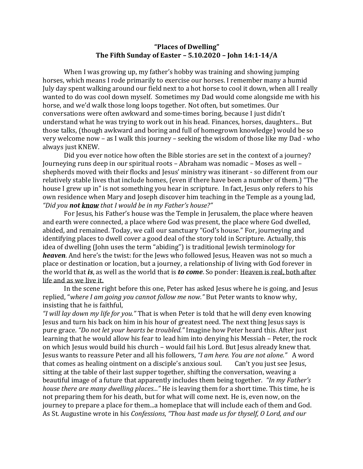## **"Places of Dwelling" The Fifth Sunday of Easter – 5.10.2020 – John 14:1-14/A**

When I was growing up, my father's hobby was training and showing jumping horses, which means I rode primarily to exercise our horses. I remember many a humid July day spent walking around our field next to a hot horse to cool it down, when all I really wanted to do was cool down myself. Sometimes my Dad would come alongside me with his horse, and we'd walk those long loops together. Not often, but sometimes. Our conversations were often awkward and some-times boring, because I just didn't understand what he was trying to work out in his head. Finances, horses, daughters... But those talks, (though awkward and boring and full of homegrown knowledge) would be so very welcome now – as I walk this journey – seeking the wisdom of those like my Dad - who always just KNEW.

Did you ever notice how often the Bible stories are set in the context of a journey? Journeying runs deep in our spiritual roots – Abraham was nomadic – Moses as well – shepherds moved with their flocks and Jesus' ministry was itinerant - so different from our relatively stable lives that include homes, (even if there have been a number of them.) "The house I grew up in" is not something you hear in scripture. In fact, Jesus only refers to his own residence when Mary and Joseph discover him teaching in the Temple as a young lad, *"Did you not know that I would be in my Father's house?"*

For Jesus, his Father's house was the Temple in Jerusalem, the place where heaven and earth were connected, a place where God was present, the place where God dwelled, abided, and remained. Today, we call our sanctuary "God's house." For, journeying and identifying places to dwell cover a good deal of the story told in Scripture. Actually, this idea of dwelling (John uses the term "abiding") is traditional Jewish terminology for *heaven*. And here's the twist: for the Jews who followed Jesus, Heaven was not so much a place or destination or location, but a journey, a relationship of living with God forever in the world that *is*, as well as the world that is *to come*. So ponder: Heaven is real, both after life and as we live it.

In the scene right before this one, Peter has asked Jesus where he is going, and Jesus replied, "*where I am going you cannot follow me now."* But Peter wants to know why, insisting that he is faithful,

*"I will lay down my life for you."* That is when Peter is told that he will deny even knowing Jesus and turn his back on him in his hour of greatest need. The next thing Jesus says is pure grace. *"Do not let your hearts be troubled."* Imagine how Peter heard this. After just learning that he would allow his fear to lead him into denying his Messiah – Peter, the rock on which Jesus would build his church – would fail his Lord. But Jesus already knew that. Jesus wants to reassure Peter and all his followers, *"I am here. You are not alone."* A word that comes as healing ointment on a disciple's anxious soul. Can't you just see Jesus, sitting at the table of their last supper together, shifting the conversation, weaving a beautiful image of a future that apparently includes them being together. *"In my Father's house there are many dwelling places..."* He is leaving them for a short time. This time, he is not preparing them for his death, but for what will come next. He is, even now, on the journey to prepare a place for them...a homeplace that will include each of them and God. As St. Augustine wrote in his *Confessions*, *"Thou hast made us for thyself, O Lord, and our*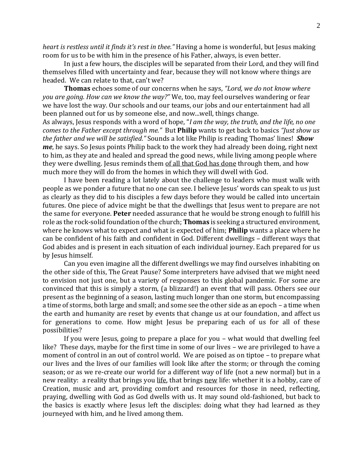*heart is restless until it finds it's rest in thee."* Having a home is wonderful, but Jesus making room for us to be with him in the presence of his Father, always, is even better.

In just a few hours, the disciples will be separated from their Lord, and they will find themselves filled with uncertainty and fear, because they will not know where things are headed. We can relate to that, can't we?

**Thomas** echoes some of our concerns when he says, *"Lord, we do not know where you are going. How can we know the way?"* We, too, may feel ourselves wandering or fear we have lost the way. Our schools and our teams, our jobs and our entertainment had all been planned out for us by someone else, and now...well, things change.

As always, Jesus responds with a word of hope, "*I am the way, the truth, and the life, no one comes to the Father except through me."* But **Philip** wants to get back to basics *"Just show us the father and we will be satisfied."* Sounds a lot like Philip is reading Thomas' lines! *Show me*, he says. So Jesus points Philip back to the work they had already been doing, right next to him, as they ate and healed and spread the good news, while living among people where they were dwelling. Jesus reminds them of all that God has done through them, and how much more they will do from the homes in which they will dwell with God.

I have been reading a lot lately about the challenge to leaders who must walk with people as we ponder a future that no one can see. I believe Jesus' words can speak to us just as clearly as they did to his disciples a few days before they would be called into uncertain futures. One piece of advice might be that the dwellings that Jesus went to prepare are not the same for everyone. **Peter** needed assurance that he would be strong enough to fulfill his role as the rock-solid foundation of the church; **Thomas** is seeking a structured environment, where he knows what to expect and what is expected of him; **Philip** wants a place where he can be confident of his faith and confident in God. Different dwellings – different ways that God abides and is present in each situation of each individual journey. Each prepared for us by Jesus himself.

Can you even imagine all the different dwellings we may find ourselves inhabiting on the other side of this, The Great Pause? Some interpreters have advised that we might need to envision not just one, but a variety of responses to this global pandemic. For some are convinced that this is simply a storm, (a blizzard!) an event that will pass. Others see our present as the beginning of a season, lasting much longer than one storm, but encompassing a time of storms, both large and small; and some see the other side as an epoch – a time when the earth and humanity are reset by events that change us at our foundation, and affect us for generations to come. How might Jesus be preparing each of us for all of these possibilities?

If you were Jesus, going to prepare a place for you – what would that dwelling feel like? These days, maybe for the first time in some of our lives – we are privileged to have a moment of control in an out of control world. We are poised as on tiptoe – to prepare what our lives and the lives of our families will look like after the storm; or through the coming season; or as we re-create our world for a different way of life (not a new normal) but in a new reality: a reality that brings you life, that brings new life: whether it is a hobby, care of Creation, music and art, providing comfort and resources for those in need, reflecting, praying, dwelling with God as God dwells with us. It may sound old-fashioned, but back to the basics is exactly where Jesus left the disciples: doing what they had learned as they journeyed with him, and he lived among them.